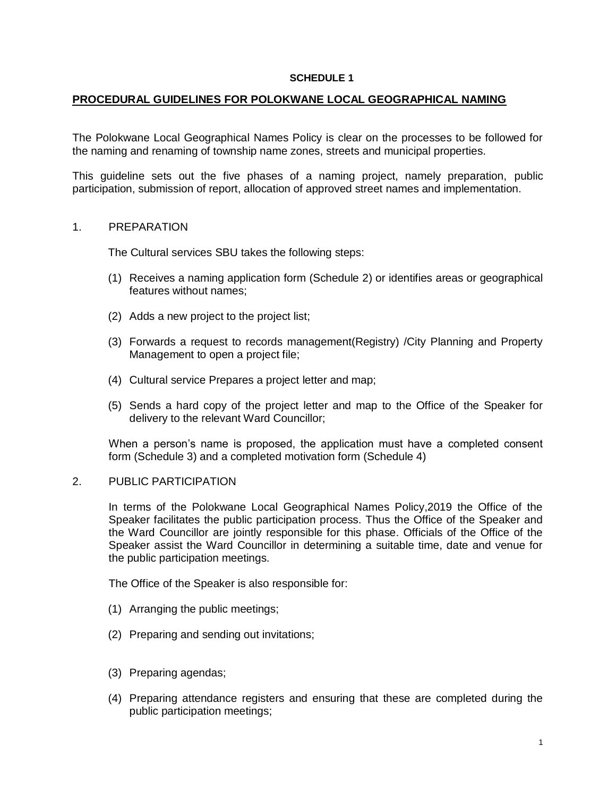### **SCHEDULE 1**

## **PROCEDURAL GUIDELINES FOR POLOKWANE LOCAL GEOGRAPHICAL NAMING**

The Polokwane Local Geographical Names Policy is clear on the processes to be followed for the naming and renaming of township name zones, streets and municipal properties.

This guideline sets out the five phases of a naming project, namely preparation, public participation, submission of report, allocation of approved street names and implementation.

## 1. PREPARATION

The Cultural services SBU takes the following steps:

- (1) Receives a naming application form (Schedule 2) or identifies areas or geographical features without names;
- (2) Adds a new project to the project list;
- (3) Forwards a request to records management(Registry) /City Planning and Property Management to open a project file;
- (4) Cultural service Prepares a project letter and map;
- (5) Sends a hard copy of the project letter and map to the Office of the Speaker for delivery to the relevant Ward Councillor;

When a person's name is proposed, the application must have a completed consent form (Schedule 3) and a completed motivation form (Schedule 4)

#### 2. PUBLIC PARTICIPATION

In terms of the Polokwane Local Geographical Names Policy,2019 the Office of the Speaker facilitates the public participation process. Thus the Office of the Speaker and the Ward Councillor are jointly responsible for this phase. Officials of the Office of the Speaker assist the Ward Councillor in determining a suitable time, date and venue for the public participation meetings.

The Office of the Speaker is also responsible for:

- (1) Arranging the public meetings;
- (2) Preparing and sending out invitations;
- (3) Preparing agendas;
- (4) Preparing attendance registers and ensuring that these are completed during the public participation meetings;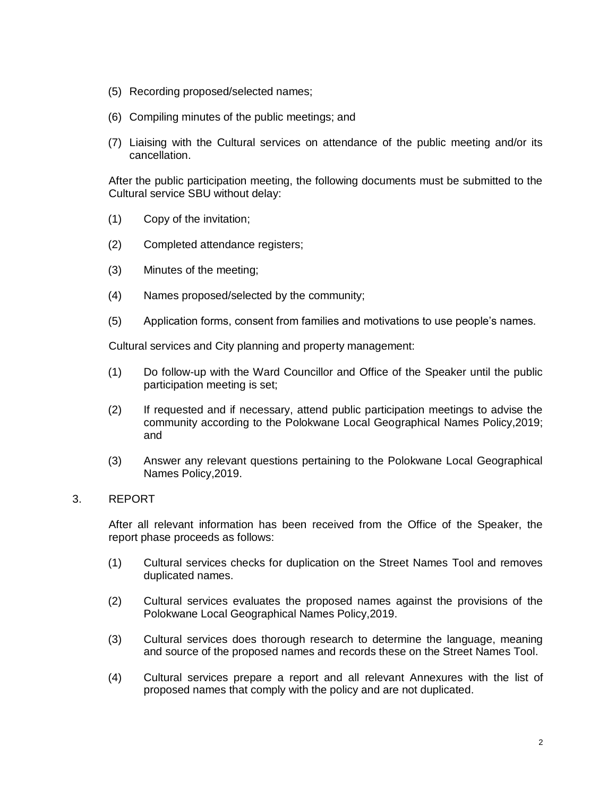- (5) Recording proposed/selected names;
- (6) Compiling minutes of the public meetings; and
- (7) Liaising with the Cultural services on attendance of the public meeting and/or its cancellation.

After the public participation meeting, the following documents must be submitted to the Cultural service SBU without delay:

- (1) Copy of the invitation;
- (2) Completed attendance registers;
- (3) Minutes of the meeting;
- (4) Names proposed/selected by the community;
- (5) Application forms, consent from families and motivations to use people's names.

Cultural services and City planning and property management:

- (1) Do follow-up with the Ward Councillor and Office of the Speaker until the public participation meeting is set;
- (2) If requested and if necessary, attend public participation meetings to advise the community according to the Polokwane Local Geographical Names Policy,2019; and
- (3) Answer any relevant questions pertaining to the Polokwane Local Geographical Names Policy,2019.

# 3. REPORT

After all relevant information has been received from the Office of the Speaker, the report phase proceeds as follows:

- (1) Cultural services checks for duplication on the Street Names Tool and removes duplicated names.
- (2) Cultural services evaluates the proposed names against the provisions of the Polokwane Local Geographical Names Policy,2019.
- (3) Cultural services does thorough research to determine the language, meaning and source of the proposed names and records these on the Street Names Tool.
- (4) Cultural services prepare a report and all relevant Annexures with the list of proposed names that comply with the policy and are not duplicated.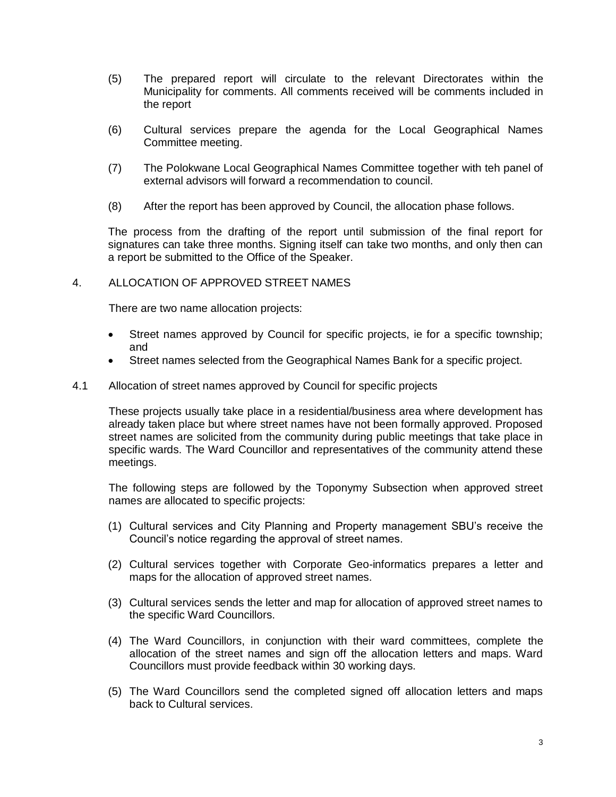- (5) The prepared report will circulate to the relevant Directorates within the Municipality for comments. All comments received will be comments included in the report
- (6) Cultural services prepare the agenda for the Local Geographical Names Committee meeting.
- (7) The Polokwane Local Geographical Names Committee together with teh panel of external advisors will forward a recommendation to council.
- (8) After the report has been approved by Council, the allocation phase follows.

The process from the drafting of the report until submission of the final report for signatures can take three months. Signing itself can take two months, and only then can a report be submitted to the Office of the Speaker.

# 4. ALLOCATION OF APPROVED STREET NAMES

There are two name allocation projects:

- Street names approved by Council for specific projects, ie for a specific township; and
- Street names selected from the Geographical Names Bank for a specific project.
- 4.1 Allocation of street names approved by Council for specific projects

These projects usually take place in a residential/business area where development has already taken place but where street names have not been formally approved. Proposed street names are solicited from the community during public meetings that take place in specific wards. The Ward Councillor and representatives of the community attend these meetings.

The following steps are followed by the Toponymy Subsection when approved street names are allocated to specific projects:

- (1) Cultural services and City Planning and Property management SBU's receive the Council's notice regarding the approval of street names.
- (2) Cultural services together with Corporate Geo-informatics prepares a letter and maps for the allocation of approved street names.
- (3) Cultural services sends the letter and map for allocation of approved street names to the specific Ward Councillors.
- (4) The Ward Councillors, in conjunction with their ward committees, complete the allocation of the street names and sign off the allocation letters and maps. Ward Councillors must provide feedback within 30 working days.
- (5) The Ward Councillors send the completed signed off allocation letters and maps back to Cultural services.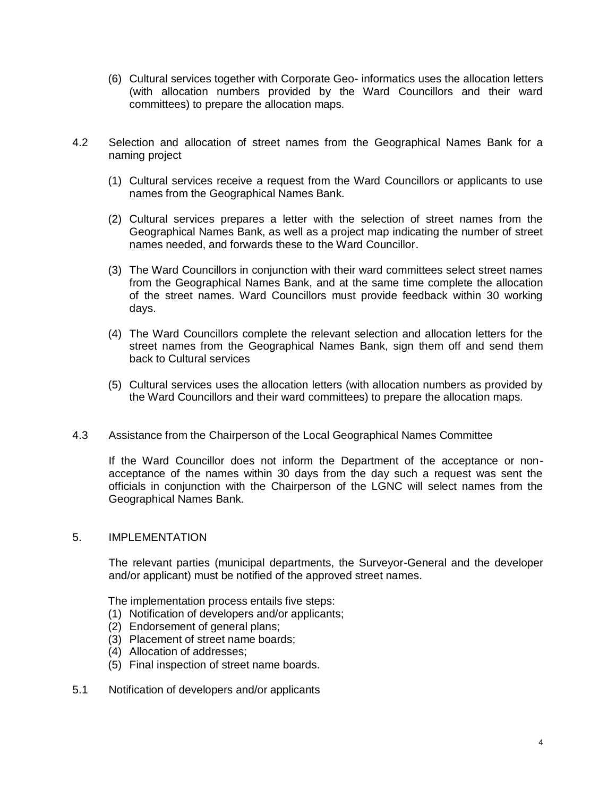- (6) Cultural services together with Corporate Geo- informatics uses the allocation letters (with allocation numbers provided by the Ward Councillors and their ward committees) to prepare the allocation maps.
- 4.2 Selection and allocation of street names from the Geographical Names Bank for a naming project
	- (1) Cultural services receive a request from the Ward Councillors or applicants to use names from the Geographical Names Bank.
	- (2) Cultural services prepares a letter with the selection of street names from the Geographical Names Bank, as well as a project map indicating the number of street names needed, and forwards these to the Ward Councillor.
	- (3) The Ward Councillors in conjunction with their ward committees select street names from the Geographical Names Bank, and at the same time complete the allocation of the street names. Ward Councillors must provide feedback within 30 working days.
	- (4) The Ward Councillors complete the relevant selection and allocation letters for the street names from the Geographical Names Bank, sign them off and send them back to Cultural services
	- (5) Cultural services uses the allocation letters (with allocation numbers as provided by the Ward Councillors and their ward committees) to prepare the allocation maps.
- 4.3 Assistance from the Chairperson of the Local Geographical Names Committee

If the Ward Councillor does not inform the Department of the acceptance or nonacceptance of the names within 30 days from the day such a request was sent the officials in conjunction with the Chairperson of the LGNC will select names from the Geographical Names Bank.

## 5. IMPLEMENTATION

The relevant parties (municipal departments, the Surveyor-General and the developer and/or applicant) must be notified of the approved street names.

The implementation process entails five steps:

- (1) Notification of developers and/or applicants;
- (2) Endorsement of general plans;
- (3) Placement of street name boards;
- (4) Allocation of addresses;
- (5) Final inspection of street name boards.
- 5.1 Notification of developers and/or applicants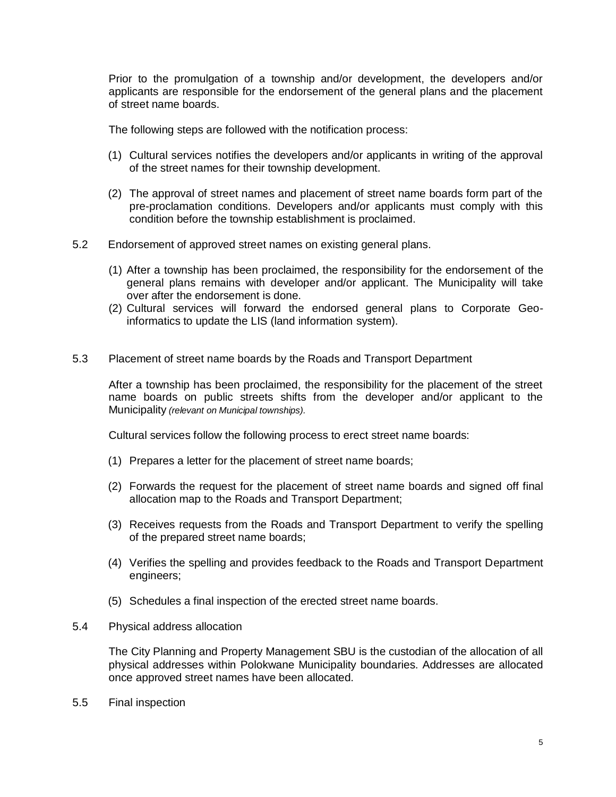Prior to the promulgation of a township and/or development, the developers and/or applicants are responsible for the endorsement of the general plans and the placement of street name boards.

The following steps are followed with the notification process:

- (1) Cultural services notifies the developers and/or applicants in writing of the approval of the street names for their township development.
- (2) The approval of street names and placement of street name boards form part of the pre-proclamation conditions. Developers and/or applicants must comply with this condition before the township establishment is proclaimed.
- 5.2 Endorsement of approved street names on existing general plans.
	- (1) After a township has been proclaimed, the responsibility for the endorsement of the general plans remains with developer and/or applicant. The Municipality will take over after the endorsement is done.
	- (2) Cultural services will forward the endorsed general plans to Corporate Geoinformatics to update the LIS (land information system).
- 5.3 Placement of street name boards by the Roads and Transport Department

After a township has been proclaimed, the responsibility for the placement of the street name boards on public streets shifts from the developer and/or applicant to the Municipality *(relevant on Municipal townships).*

Cultural services follow the following process to erect street name boards:

- (1) Prepares a letter for the placement of street name boards;
- (2) Forwards the request for the placement of street name boards and signed off final allocation map to the Roads and Transport Department;
- (3) Receives requests from the Roads and Transport Department to verify the spelling of the prepared street name boards;
- (4) Verifies the spelling and provides feedback to the Roads and Transport Department engineers;
- (5) Schedules a final inspection of the erected street name boards.
- 5.4 Physical address allocation

The City Planning and Property Management SBU is the custodian of the allocation of all physical addresses within Polokwane Municipality boundaries. Addresses are allocated once approved street names have been allocated.

5.5 Final inspection